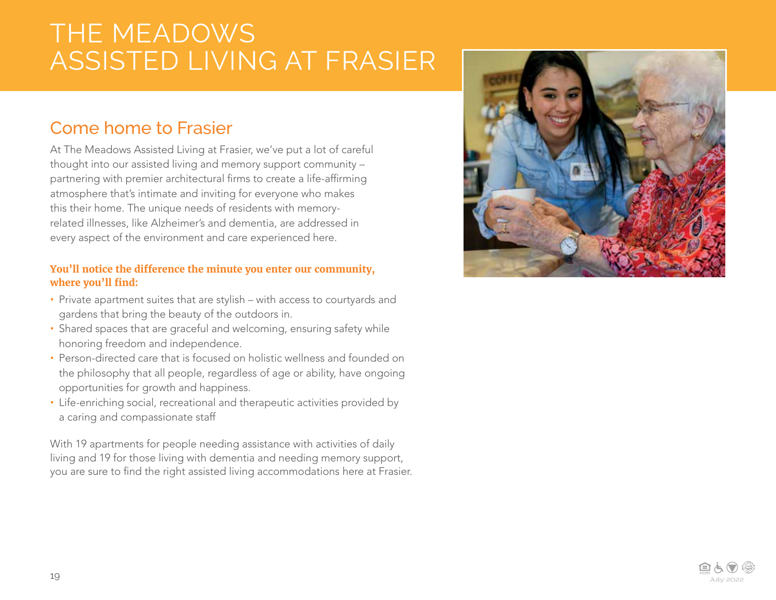## THE MEADOWS ASSISTED LIVING AT FRASIER

## Come home to Frasier

At The Meadows Assisted Living at Frasier, we've put a lot of careful thought into our assisted living and memory support community – partnering with premier architectural firms to create a life-affirming atmosphere that's intimate and inviting for everyone who makes this their home. The unique needs of residents with memoryrelated illnesses, like Alzheimer's and dementia, are addressed in every aspect of the environment and care experienced here.

#### **You'll notice the difference the minute you enter our community, where you'll find:**

- **•** Private apartment suites that are stylish with access to courtyards and gardens that bring the beauty of the outdoors in.
- **•** Shared spaces that are graceful and welcoming, ensuring safety while honoring freedom and independence.
- **•** Person-directed care that is focused on holistic wellness and founded on the philosophy that all people, regardless of age or ability, have ongoing opportunities for growth and happiness.
- **•** Life-enriching social, recreational and therapeutic activities provided by a caring and compassionate staff

With 19 apartments for people needing assistance with activities of daily living and 19 for those living with dementia and needing memory support, you are sure to find the right assisted living accommodations here at Frasier.



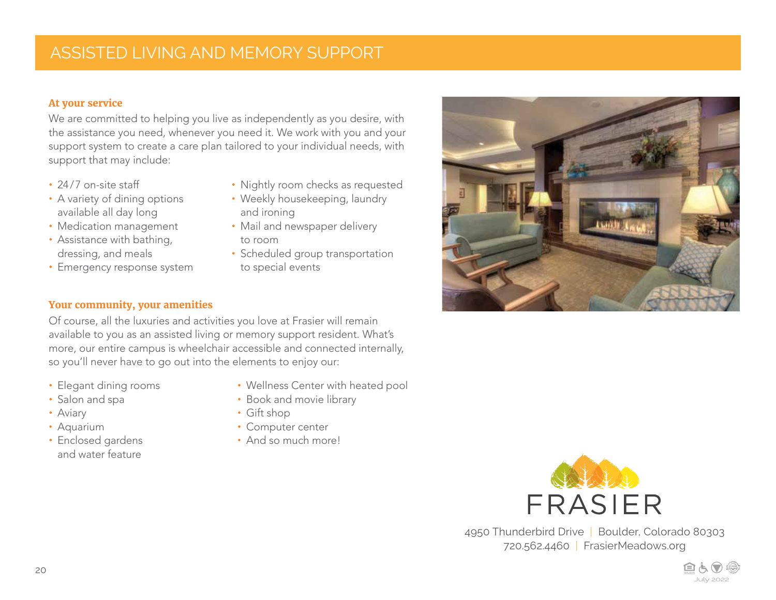### ASSISTED LIVING AND MEMORY SUPPORT

#### **At your service**

We are committed to helping you live as independently as you desire, with the assistance you need, whenever you need it. We work with you and your support system to create a care plan tailored to your individual needs, with support that may include:

- **•** 24/7 on-site staff
- **•** A variety of dining options available all day long
- **•** Medication management
- **•** Assistance with bathing, dressing, and meals
- **•** Emergency response system
- 
- **•** Nightly room checks as requested
- **•** Weekly housekeeping, laundry and ironing
- **•** Mail and newspaper delivery to room
- **•** Scheduled group transportation to special events



#### **Your community, your amenities**

Of course, all the luxuries and activities you love at Frasier will remain available to you as an assisted living or memory support resident. What's more, our entire campus is wheelchair accessible and connected internally, so you'll never have to go out into the elements to enjoy our:

- **•** Elegant dining rooms
- **•** Salon and spa
- **•** Aviary
- **•** Aquarium
- **•** Enclosed gardens and water feature
- **•** Wellness Center with heated pool
- **•** Book and movie library
- **•** Gift shop
- **•** Computer center
- **•** And so much more!



4950 Thunderbird Drive | Boulder, Colorado 80303 720.562.4460 | FrasierMeadows.org

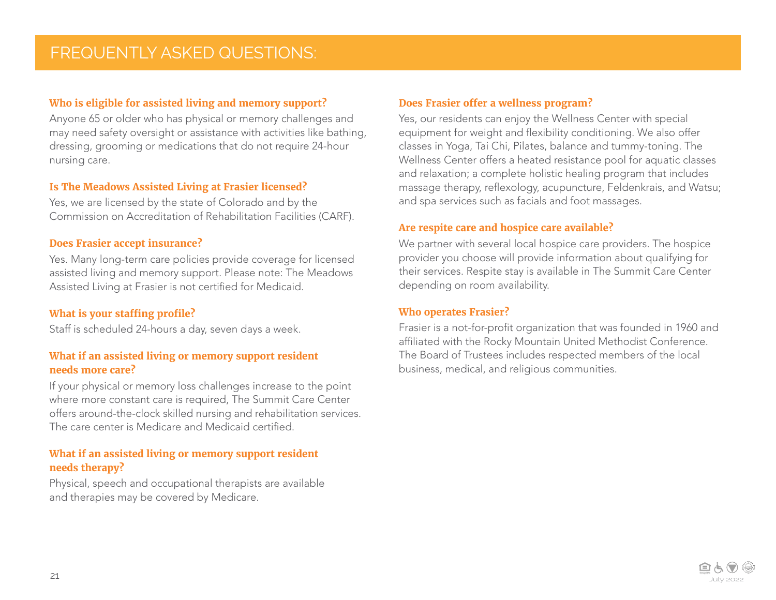#### **Who is eligible for assisted living and memory support?**

Anyone 65 or older who has physical or memory challenges and may need safety oversight or assistance with activities like bathing, dressing, grooming or medications that do not require 24-hour nursing care.

#### **Is The Meadows Assisted Living at Frasier licensed?**

Yes, we are licensed by the state of Colorado and by the Commission on Accreditation of Rehabilitation Facilities (CARF).

#### **Does Frasier accept insurance?**

Yes. Many long-term care policies provide coverage for licensed assisted living and memory support. Please note: The Meadows Assisted Living at Frasier is not certified for Medicaid.

#### **What is your staffing profile?**

Staff is scheduled 24-hours a day, seven days a week.

#### **What if an assisted living or memory support resident needs more care?**

If your physical or memory loss challenges increase to the point where more constant care is required, The Summit Care Center offers around-the-clock skilled nursing and rehabilitation services. The care center is Medicare and Medicaid certified.

#### **What if an assisted living or memory support resident needs therapy?**

Physical, speech and occupational therapists are available and therapies may be covered by Medicare.

#### **Does Frasier offer a wellness program?**

Yes, our residents can enjoy the Wellness Center with special equipment for weight and flexibility conditioning. We also offer classes in Yoga, Tai Chi, Pilates, balance and tummy-toning. The Wellness Center offers a heated resistance pool for aquatic classes and relaxation; a complete holistic healing program that includes massage therapy, reflexology, acupuncture, Feldenkrais, and Watsu; and spa services such as facials and foot massages.

#### **Are respite care and hospice care available?**

We partner with several local hospice care providers. The hospice provider you choose will provide information about qualifying for their services. Respite stay is available in The Summit Care Center depending on room availability.

#### **Who operates Frasier?**

Frasier is a not-for-profit organization that was founded in 1960 and affiliated with the Rocky Mountain United Methodist Conference. The Board of Trustees includes respected members of the local business, medical, and religious communities.